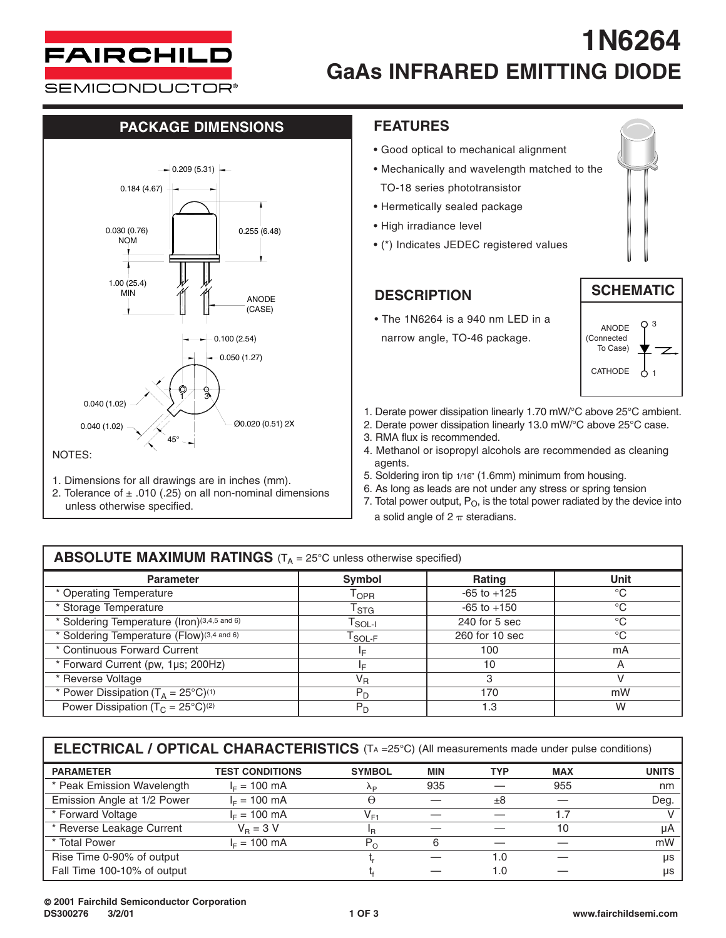

# **1N6264 GaAs INFRARED EMITTING DIODE**

**SEMICONDUCTOR®** 

### **PACKAGE DIMENSIONS FEATURES**



- 1. Dimensions for all drawings are in inches (mm).
- 2. Tolerance of  $\pm$  .010 (.25) on all non-nominal dimensions unless otherwise specified.

- Good optical to mechanical alignment
- Mechanically and wavelength matched to the TO-18 series phototransistor
- Hermetically sealed package
- High irradiance level
- (\*) Indicates JEDEC registered values

### **DESCRIPTION**

• The 1N6264 is a 940 nm LED in a narrow angle, TO-46 package.





- 1. Derate power dissipation linearly 1.70 mW/°C above 25°C ambient.
- 2. Derate power dissipation linearly 13.0 mW/°C above 25°C case.
- 3. RMA flux is recommended.
- 4. Methanol or isopropyl alcohols are recommended as cleaning agents.
- 5. Soldering iron tip 1/16" (1.6mm) minimum from housing.
- 6. As long as leads are not under any stress or spring tension
- 7. Total power output,  $P_O$ , is the total power radiated by the device into a solid angle of  $2 \pi$  steradians.

### **ABSOLUTE MAXIMUM RATINGS** (T<sub>A</sub> = 25°C unless otherwise specified)

| <b>Parameter</b>                                | <b>Symbol</b>                                 | Rating          | <b>Unit</b> |  |
|-------------------------------------------------|-----------------------------------------------|-----------------|-------------|--|
| * Operating Temperature                         | $\mathsf{T}_{\mathsf{OPR}}$                   | $-65$ to $+125$ | $^{\circ}C$ |  |
| * Storage Temperature                           | $\mathsf{T}_{\textsf{STG}}$                   | $-65$ to $+150$ | $^{\circ}C$ |  |
| * Soldering Temperature (Iron)(3,4,5 and 6)     | $\mathsf{I}_{\text{SOL-I}}$                   | $240$ for 5 sec | $^{\circ}C$ |  |
| * Soldering Temperature (Flow)(3,4 and 6)       | $\mathsf{I}_{\mathsf{SOL}\text{-}\mathsf{F}}$ | 260 for 10 sec  | $^{\circ}C$ |  |
| * Continuous Forward Current                    | I⊏                                            | 100             | mA          |  |
| * Forward Current (pw, 1µs; 200Hz)              | c                                             | 10              | A           |  |
| * Reverse Voltage                               | $\mathsf{V}_\mathsf{R}$                       | 3               |             |  |
| * Power Dissipation $(T_A = 25^{\circ}C)^{(1)}$ | $P_D$                                         | 170             | mW          |  |
| Power Dissipation ( $T_c = 25^{\circ}C^{(2)}$   | $P_D$                                         | 1.3             | W           |  |

| <b>PARAMETER</b>            | <b>TEST CONDITIONS</b> | <b>SYMBOL</b> | <b>MIN</b> | TYP  | <b>MAX</b> | <b>UNITS</b> |
|-----------------------------|------------------------|---------------|------------|------|------------|--------------|
| * Peak Emission Wavelength  | $I_F = 100$ mA         | Λp            | 935        |      | 955        | nm           |
| Emission Angle at 1/2 Power | $I_F = 100 \text{ mA}$ | Θ             |            | ±8   |            | Deg.         |
| * Forward Voltage           | $I_F = 100 \text{ mA}$ | $V_{F1}$      |            |      |            |              |
| * Reverse Leakage Current   | $V_{\rm B} = 3 V$      | ΙR            |            |      | 10         | uА           |
| * Total Power               | $IE = 100$ mA          | $P_{\Omega}$  |            |      |            | mW           |
| Rise Time 0-90% of output   |                        |               |            | 0. ا |            | us           |
| Fall Time 100-10% of output |                        |               |            | 0. ا |            | us           |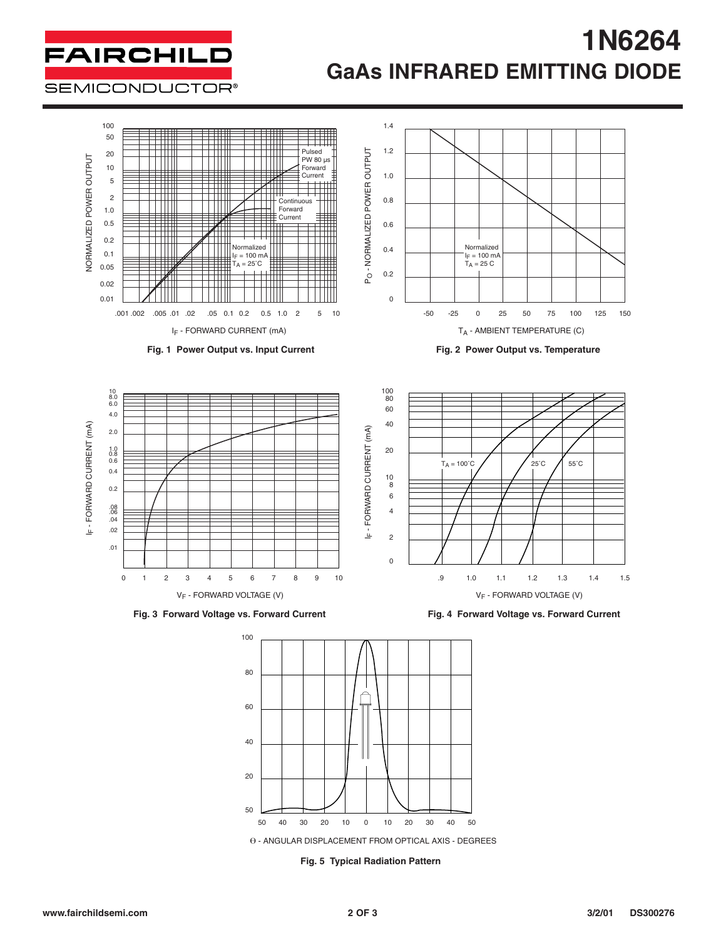# **1N6264 GaAs INFRARED EMITTING DIODE**

**SEMICONDUCTOR®** 

**FAIRCHILD** 



40 30 20 10 0 10 20 30 40 50 0 - ANGULAR DISPLACEMENT FROM OPTICAL AXIS - DEGREES

**Fig. 5 Typical Radiation Pattern**

50 50

20